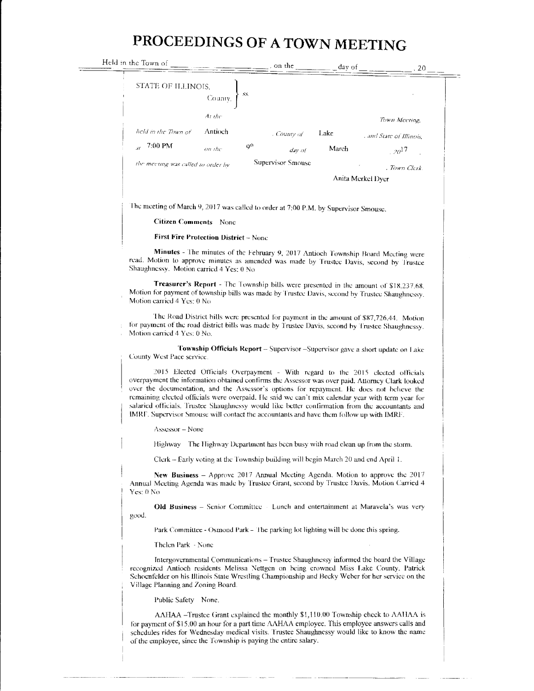## PROCEEDINGS OF A TOWN MEETING

| Held in the Town of                                    | , on the          | day of            | . 20                     |  |
|--------------------------------------------------------|-------------------|-------------------|--------------------------|--|
| STATE OF ILLINOIS,<br>SS.<br>County,                   |                   |                   |                          |  |
| At the                                                 |                   |                   | Town Meeting,            |  |
| Antioch<br>held in the Town of                         | . County of       | Lake              | . and State of Illinois, |  |
| 7:00 PM<br>Q <sup>th</sup><br>$\overline{H}$<br>on the | day of            | March             | $^{120}$                 |  |
| the meeting was called to order by                     | Supervisor Smouse |                   | , Town Clerk.            |  |
|                                                        |                   | Anita Merkel Dyer |                          |  |
|                                                        |                   |                   |                          |  |

The meeting of March 9, 2017 was called to order at 7:00 P.M. by Supervisor Smouse.

## **Citizen Comments** None

**First Fire Protection District - None** 

Minutes - The minutes of the February 9, 2017 Antioch Township Board Meeting were read. Motion to approve minutes as amended was made by Trustee Davis, second by Trustee Shaughnessy. Motion carried 4 Yes: 0 No

Treasurer's Report - The Township bills were presented in the amount of \$18,237.68. Motion for payment of township bills was made by Trustee Davis, second by Trustee Shaughnessy. Motion carried 4 Yes: 0 No

The Road District bills were presented for payment in the amount of \$87,726.44. Motion for payment of the road district bills was made by Trustee Davis, second by Trustee Shaughnessy. Motion carried 4 Yes: 0 No.

Township Officials Report - Supervisor - Supervisor gave a short update on Lake County West Pace service.

2015 Elected Officials Overpayment - With regard to the 2015 elected officials overpayment the information obtained confirms the Assessor was over paid. Attorney Clark looked over the documentation, and the Assessor's options for repayment. He does not beheve the remaining elected officials were overpaid. He said we can't mix calendar year with term year for salaried officials. Trustee Shaughnessy would like better confirmation from the accountants and IMRF. Supervisor Smouse will contact the accountants and have them follow up with IMRF.

Assessor - None

Highway The Highway Department has been busy with road clean up from the storm.

Clerk – Early voting at the Township building will begin March 20 and end April 1.

New Business - Approve 2017 Annual Meeting Agenda. Motion to approve the 2017 Annual Meeting Agenda was made by Trustee Grant, second by Trustee Davis. Motion Carried 4 Yes: 0 No

Old Business - Senior Committee Lunch and entertainment at Maravela's was very good.

Park Committee - Osmond Park - The parking lot lighting will be done this spring.

Thelen Park - None

Intergovernmental Communications - Trustee Shaughnessy informed the board the Village recognized Antioch residents Melissa Nettgen on being crowned Miss Lake County, Patrick Schoenfelder on his Illinois State Wrestling Championship and Becky Weber for her service on the Village Planning and Zoning Board.

Public Safety None.

AAHAA -Trustee Grant explained the monthly \$1,110.00 Township check to AAHAA is for payment of \$15.00 an hour for a part time AAHAA employee. This employee answers calls and schedules rides for Wednesday medical visits. Trustee Shaughnessy would like to know the name of the employee, since the Township is paying the entire salary.